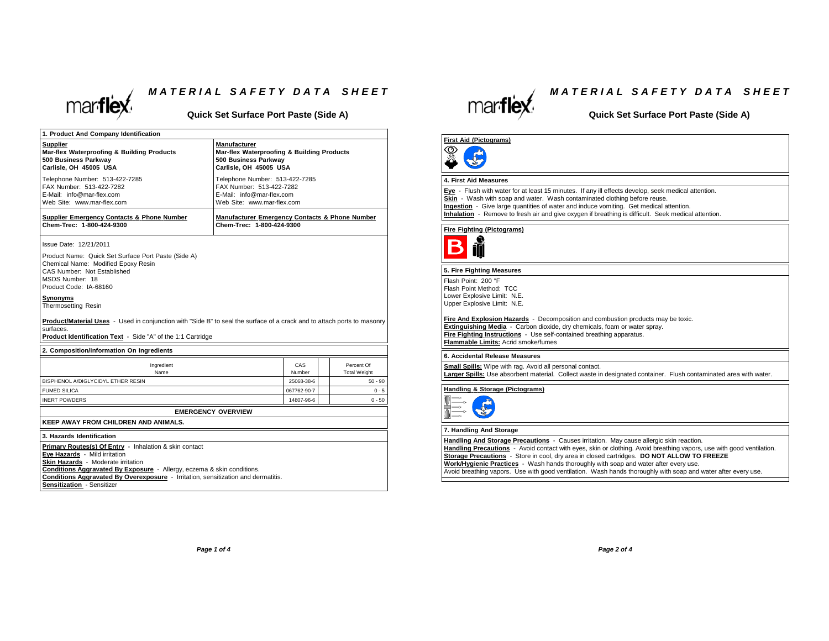

### *M <sup>A</sup> <sup>T</sup> <sup>E</sup> <sup>R</sup> <sup>I</sup> <sup>A</sup> <sup>L</sup> <sup>S</sup> <sup>A</sup> <sup>F</sup> <sup>E</sup> <sup>T</sup> <sup>Y</sup> <sup>D</sup> <sup>A</sup> <sup>T</sup> <sup>A</sup> <sup>S</sup> <sup>H</sup> <sup>E</sup> <sup>E</sup> <sup>T</sup>*

**Quick Set Surface Port Paste (Side A)**

| 1. Product And Company Identification                                                                                                                                                                                                                                                                                      |                                                                                                                       |                                   |
|----------------------------------------------------------------------------------------------------------------------------------------------------------------------------------------------------------------------------------------------------------------------------------------------------------------------------|-----------------------------------------------------------------------------------------------------------------------|-----------------------------------|
| Supplier<br>Mar-flex Waterproofing & Building Products<br>500 Business Parkway<br>Carlisle, OH 45005 USA                                                                                                                                                                                                                   | <b>Manufacturer</b><br>Mar-flex Waterproofing & Building Products<br>500 Business Parkway<br>Carlisle, OH 45005 USA   |                                   |
| Telephone Number: 513-422-7285<br>FAX Number: 513-422-7282<br>E-Mail: info@mar-flex.com<br>Web Site: www.mar-flex.com                                                                                                                                                                                                      | Telephone Number: 513-422-7285<br>FAX Number: 513-422-7282<br>E-Mail: info@mar-flex.com<br>Web Site: www.mar-flex.com |                                   |
| Supplier Emergency Contacts & Phone Number<br>Chem-Trec: 1-800-424-9300                                                                                                                                                                                                                                                    | Manufacturer Emergency Contacts & Phone Number<br>Chem-Trec: 1-800-424-9300                                           |                                   |
| Issue Date: 12/21/2011                                                                                                                                                                                                                                                                                                     |                                                                                                                       |                                   |
| Product Name: Quick Set Surface Port Paste (Side A)<br>Chemical Name: Modified Epoxy Resin<br>CAS Number: Not Established<br>MSDS Number: 18<br>Product Code: IA-68160                                                                                                                                                     |                                                                                                                       |                                   |
| Svnonvms<br><b>Thermosetting Resin</b>                                                                                                                                                                                                                                                                                     |                                                                                                                       |                                   |
| <b>Product/Material Uses</b> - Used in conjunction with "Side B" to seal the surface of a crack and to attach ports to masonry<br>surfaces.<br>Product Identification Text - Side "A" of the 1:1 Cartridge                                                                                                                 |                                                                                                                       |                                   |
| 2. Composition/Information On Ingredients                                                                                                                                                                                                                                                                                  |                                                                                                                       |                                   |
| Ingredient<br>Name                                                                                                                                                                                                                                                                                                         | CAS<br>Number                                                                                                         | Percent Of<br><b>Total Weight</b> |
| BISPHENOL A/DIGLYCIDYL ETHER RESIN                                                                                                                                                                                                                                                                                         | 25068-38-6                                                                                                            | $50 - 90$                         |
| <b>FUMED SILICA</b>                                                                                                                                                                                                                                                                                                        | 067762-90-7                                                                                                           | $0 - 5$                           |
| <b>INERT POWDERS</b>                                                                                                                                                                                                                                                                                                       | 14807-96-6                                                                                                            | $0 - 50$                          |
|                                                                                                                                                                                                                                                                                                                            | <b>EMERGENCY OVERVIEW</b>                                                                                             |                                   |
| <b>KEEP AWAY FROM CHILDREN AND ANIMALS.</b>                                                                                                                                                                                                                                                                                |                                                                                                                       |                                   |
| 3. Hazards Identification                                                                                                                                                                                                                                                                                                  |                                                                                                                       |                                   |
| Primary Routes(s) Of Entry - Inhalation & skin contact<br>Eye Hazards - Mild irritation<br>Skin Hazards - Moderate irritation<br>Conditions Aggravated By Exposure - Allergy, eczema & skin conditions.<br>Conditions Aggravated By Overexposure - Irritation, sensitization and dermatitis.<br>Sensitization - Sensitizer |                                                                                                                       |                                   |



### *M <sup>A</sup> <sup>T</sup> <sup>E</sup> <sup>R</sup> <sup>I</sup> <sup>A</sup> <sup>L</sup> <sup>S</sup> <sup>A</sup> <sup>F</sup> <sup>E</sup> <sup>T</sup> <sup>Y</sup> <sup>D</sup> <sup>A</sup> <sup>T</sup> <sup>A</sup> <sup>S</sup> <sup>H</sup> <sup>E</sup> <sup>E</sup> <sup>T</sup>*

### **Quick Set Surface Port Paste (Side A)**

### **First Aid (Pictograms)**

### LE **4. First Aid Measures**

**Eye** - Flush with water for at least <sup>15</sup> minutes. If any ill effects develop, seek medical attention.

**Skin** - Wash with soap and water. Wash contaminated clothing before reuse.

**Ingestion** - Give large quantities of water and induce vomiting. Get medical attention.

**Inhalation** - Remove to fresh air and give oxygen if breathing is difficult. Seek medical attention.

**Fire Fighting (Pictograms)**



### **5. Fire Fighting Measures**

Flash Point: <sup>200</sup> °F Flash Point Method: TCC Lower Explosive Limit: N.E. Upper Explosive Limit: N.E.

**Fire And Explosion Hazards** - Decomposition and combustion products may be toxic. **Extinguishing Media** - Carbon dioxide, dry chemicals, foam or water spray. **Fire Fighting Instructions** - Use self-contained breathing apparatus. **Flammable Limits:** Acrid smoke/fumes

### **6. Accidental Release Measures**

**Small Spills:** Wipe with rag. Avoid all personal contact. **Larger Spills:** Use absorbent material. Collect waste in designated container. Flush contaminated area with water.

**Handling & Storage (Pictograms)**



### **7. Handling And Storage**

**Handling And Storage Precautions** - Causes irritation. May cause allergic skin reaction. **Handling Precautions** - Avoid contact with eyes, skin or clothing. Avoid breathing vapors, use with good ventilation. **Storage Precautions** - Store in cool, dry area in closed cartridges. **DO NOT ALLOW TO FREEZE Work/Hygienic Practices** - Wash hands thoroughly with soap and water after every use. Avoid breathing vapors. Use with good ventilation. Wash hands thoroughly with soap and water after every use.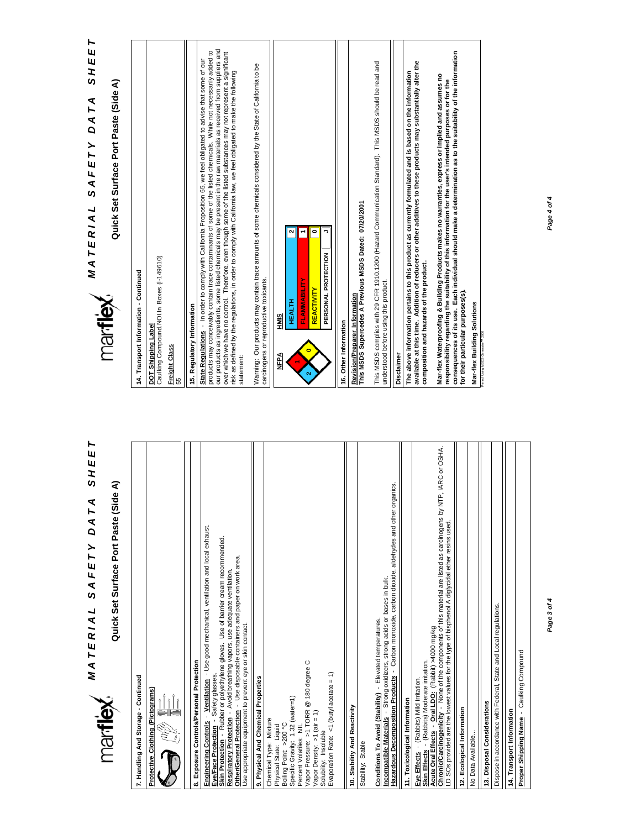## **MATERIAL SAFETY DATA SHEET** *A T E R I A L S A F E T Y D A T A S H E E T*

Quick Set Surface Port Paste (Side A) **Quick Set Surface Port Paste (Side A)**

> 7. Handling And Storage - Continued **7. Handling And Storage - Continued** Protective Clothing (Pictograms)



Exposure Controls/Personal Protection **8. Exposure Controls/Personal Protection**

<u>Engineering Controls - Ventilation</u> - Use good mechanical, ventilation and local exhaust.<br>E<mark>ve/Face Protection</mark> - Safety glasses. **Engineering Controls** - **Ventilation** - Use good mechanical, ventilation and local exhaust. <mark>Skin Protection</mark> → Rubber or polyethylene gloves. Use of barrier cream recommended.<br><u>Respiratory Protection</u> → Avoid breathing vapors, use adequate ventilation. **Skin Protection** - Rubber or polyethylene gloves. Use of barrier cream recommended. er/General Protection - Use disposable containers and paper on work area. **Respiratory Protection** - Avoid breathing vapors, use adequate ventilation. **Eye/Face Protection** - Safety glasses.

**Other/General Protection** - Use disposable containers and paper on work area. Use appropriate equipment to prevent eye or skin contact. Use appropriate equipment to prevent eye or skin contact. 퉝

9. Physical And Chemical Properties **9. Physical And Chemical Properties**

Percent Volatiles: NIL<br>Vapor Pressure: >1 TORR @ 180 degree C<br>Vapor Density: >1 (air = 1) Vapor Pressure: >1 TORR @ 180 degree C Evaporation Rate: <1 (butyl acetate = 1) Evaporation Rate: <1 (butyl acetate = 1) Specific Gravity: 1.32 (water=1) Specific Gravity: 1.32 (water=1) Vapor Density: >1 (air = 1) Chemical Type: Mixture Chemical Type: Mixture Boiling Point: >200 °C Physical State: Liquid Boiling Point: >200 °C Percent Volatiles: NIL Physical State: Liquid Solubility: Insoluble Solubility: Insoluble

10. Stability And Reactivity **10. Stability And Reactivity** Stability: Stable

Stability: Stable

Conditions To Avoid (Stability) - Elevated temperatures. **Conditions To Avoid (Stability)** - Elevated temperatures.

Incompatible Materials - Strong oxidizers, strong acids or bases in bulk.<br>Hazardous Decomposition Products - Carbon monoxide, carbon dioxide, aldehydes and other organics. **Hazardous Decomposition Products** - Carbon monoxide, carbon dioxide, aldehydes and other organics. **Incompatible Materials** - Strong oxidizers, strong acids or bases in bulk.

Eye Effects - (Rabbits) Mild Irritation. **Eye Effects** - (Rabbits) Mild Irritation. 11. Toxicological Information **11. Toxicological Information**

**Skin Effects** - (Rabbits) Moderate irritation.

<mark>Skin Effects</mark> - `(Rabbits) Moderate irritation.<br><u>Acute Oral Effects</u> - <u>Oral LDC:</u> (Rabbit) -4000 mg/kg<br><u>Chronic/Carcinogenicity</u> - None of the components of this material are listed as carcinogens by NTP, IARC or OSHA.<br> **Chronic/Carcinogenicity** - None of the components of this material are listed as carcinogens by NTP, IARC or OSHA. LD SOs provided are the lowest values for the type of bisphenol A diglycidal ether resins used. **Acute Oral Effects** - **Oral LDO:** (Rabbit) >4000 mg/kg

12. Ecological Information **12. Ecological Information**

Dispose in accordance with Federal, State and Local regulations. Dispose in accordance with Federal, State and Local regulations. 13. Disposal Considerations **13. Disposal Considerations** 14. Transport Information **14. Transport Information** No Data Available... No Data Available..

Proper Shipping Name - Caulking Compound **Proper Shipping Name** - Caulking Compound *Page 3 of 4*



**MATERIAL SAFETY DATA SHEET**<br>Manitlex *A T E R I A L S A F E T Y D A T A S H E E T* Quick Set Surface Port Paste (Side A)

**Quick Set Surface Port Paste (Side A)**

| 14. Transport Information - Continued                            |                                                                                                                                                                                                                                                                                                                                                                                                                                                                                                                                                                                                                   |
|------------------------------------------------------------------|-------------------------------------------------------------------------------------------------------------------------------------------------------------------------------------------------------------------------------------------------------------------------------------------------------------------------------------------------------------------------------------------------------------------------------------------------------------------------------------------------------------------------------------------------------------------------------------------------------------------|
| Caulking Compound. NOI.In Boxes (I-149610)<br>DOT Shipping Label |                                                                                                                                                                                                                                                                                                                                                                                                                                                                                                                                                                                                                   |
| Freight Class<br>55                                              |                                                                                                                                                                                                                                                                                                                                                                                                                                                                                                                                                                                                                   |
| 15. Regulatory Information                                       |                                                                                                                                                                                                                                                                                                                                                                                                                                                                                                                                                                                                                   |
| statement:                                                       | our products as ingredients, some listed chemicals may be present in the raw materials as received from suppliers and<br>products may conceivably contain trace contaminants of some of the listed chemicals. While not necessarily added to<br>over which we have no control. Therefore, even though some of the listed substances may not represent a significant<br>State Regulations - In order to comply with California Proposition 65, we feel obligated to advise that some of our<br>risk as defined by the regulations, in order to comply with California law, we feel obligated to make the following |
| carcinogens or reproductive toxicants.                           | Warning: Our products may contain trace amounts of some chemicals considered by the State of California to be                                                                                                                                                                                                                                                                                                                                                                                                                                                                                                     |
| <b>SIMH</b><br>Ne∃A                                              |                                                                                                                                                                                                                                                                                                                                                                                                                                                                                                                                                                                                                   |
| <b>HEALTH</b><br>$\overline{\mathbf{c}}$                         | $\bullet$<br>PERSONAL PROTECTION<br>FLAMMABILITY<br><b>REACTIVITY</b>                                                                                                                                                                                                                                                                                                                                                                                                                                                                                                                                             |
| 16. Other Information                                            |                                                                                                                                                                                                                                                                                                                                                                                                                                                                                                                                                                                                                   |
|                                                                  | <u>Revision/Preparer_Information</u><br>This MSDS Supercedes A Previous MSDS Dated: 07/20/2001                                                                                                                                                                                                                                                                                                                                                                                                                                                                                                                    |
| understood before using this product.                            | This MSDS complies with 29 CFR 1910.1200 (Hazard Communication Standard). This MSDS should be read and                                                                                                                                                                                                                                                                                                                                                                                                                                                                                                            |
| Disclaimer                                                       |                                                                                                                                                                                                                                                                                                                                                                                                                                                                                                                                                                                                                   |
| composition and hazards of the product.                          | available at this time. Addition of reducers or other additives to these products may substantially alter the<br>The above information pertains to this product as currently formulated and is based on the information                                                                                                                                                                                                                                                                                                                                                                                           |
| for their particular purposes(s).                                | consequences of its use. Each individual should make a determination as to the suitability of the information<br>Mar-flex Waterproofing & Building Products makes no warranties, express or implied and assumes no<br>responsibility regarding the suitability of this information for the user's intended purposes or for the                                                                                                                                                                                                                                                                                    |
| Mar-flex Building Solutions                                      |                                                                                                                                                                                                                                                                                                                                                                                                                                                                                                                                                                                                                   |
| nimed Using MSDS Generator <sup>no</sup> 2000                    |                                                                                                                                                                                                                                                                                                                                                                                                                                                                                                                                                                                                                   |

*Page 4 of 4*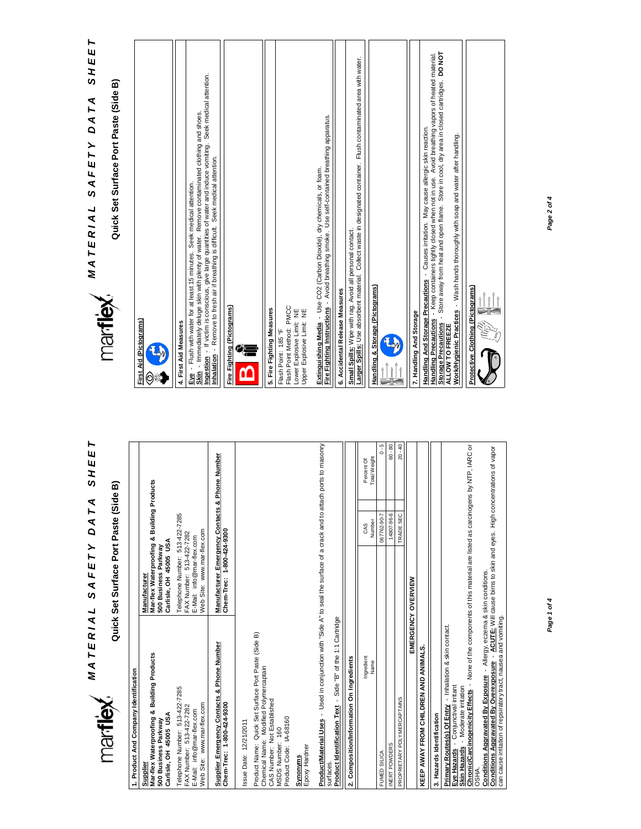

# *MATERIAL* SAFETY DATA SHEET<br>Martlex *A T E R I A L S A F E T Y D A T A S H E E T*

Quick Set Surface Port Paste (Side B) **Quick Set Surface Port Paste (Side B)**



| J                     |                       |   |
|-----------------------|-----------------------|---|
|                       |                       |   |
|                       | 4. First Aid Measures |   |
| $ \ddot{\mathbf{x}} $ |                       | Ì |

**Eye** - Flush with water for at least 15 minutes. Seek medical attention.

<u>Eve</u> - Flush with water for at least 15 minutes. Seek medical attention.<br><u>Skin</u> - Immediately deluge skin with plemty of water. Remove contaminated clothing and shoes.<br><u>Ingestion</u> - If victim is conscious, give large quan **Ingestion** - If victim is conscious, give large quantities of water and induce vomiting. Seek medical attention. **Skin** - Immediately deluge skin with plenty of water. Remove contaminated clothing and shoes. **Inhalation** - Remove to fresh air if breathing is difficult. Seek medical attention.

| U<br>param |  |
|------------|--|
| è<br>Ξ     |  |
|            |  |

| 5. Fire Fighting Measures | Flash Point Method: PMCC<br>Lower Explosive Limit: NE<br>Upper Explosive Limit: NE<br>Flash Point: 185 °F | Fire Fighting Instructions - Avoid breathing smoke. Use self-contained breathing apparatus.<br>Extinguishing Media - Use CO2 (Carbon Dioxide), dry chemicals, or foam. | 6. Accidental Release Measures | Larger Spills: Use absorbent material. Collect waste in designated container. Flush contaminated area with water.<br>Small Spills: Wipe with rag. Avoid all personal contact. | Handling & Storage (Pictograms) |
|---------------------------|-----------------------------------------------------------------------------------------------------------|------------------------------------------------------------------------------------------------------------------------------------------------------------------------|--------------------------------|-------------------------------------------------------------------------------------------------------------------------------------------------------------------------------|---------------------------------|
|                           |                                                                                                           |                                                                                                                                                                        |                                |                                                                                                                                                                               |                                 |



7. Handling And Storage **7. Handling And Storage**

<u>Handling And Storage Precautions</u> - Causes irritation. May cause allergic skin reaction.<br>Handling Precautions - Keep containers tightly closed when not in use. Avoid breathing vapors of heated material.<br>ALLOW TO FREEZDE **Storage Precautions** - Store away from heat and open flame. Store in cool, dry area in closed cartridges. **DO NOT Handling Precautions** - Keep containers tightly closed when not in use. Avoid breathing vapors of heated material. **Handling And Storage Precautions** - Causes irritation. May cause allergic skin reaction.

Work/Hygienic Practices - Wash hands thoroughly with soap and water after handling. **Work/Hygienic Practices** - Wash hands thoroughly with soap and water after handling. **ALLOW TO FREEZE**